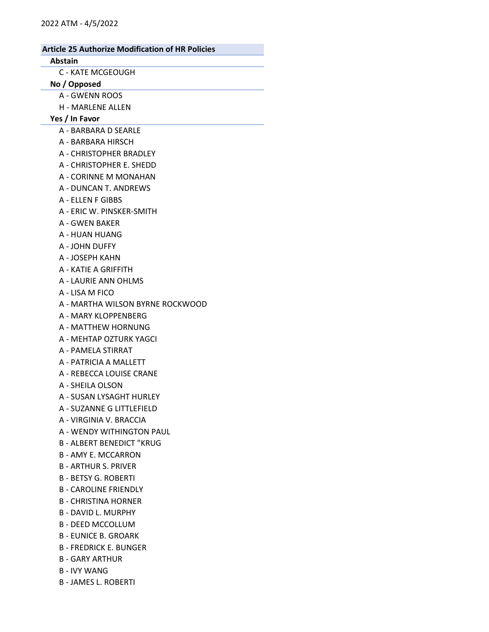# Article 25 Authorize Modification of HR Policies Abstain C - KATE MCGEOUGH No / Opposed A - GWENN ROOS H - MARLENE ALLEN Yes / In Favor A - BARBARA D SEARLE A - BARBARA HIRSCH A - CHRISTOPHER BRADLEY A - CHRISTOPHER E. SHEDD A - CORINNE M MONAHAN A - DUNCAN T. ANDREWS A - ELLEN F GIBBS A - ERIC W. PINSKER-SMITH A - GWEN BAKER A - HUAN HUANG A - JOHN DUFFY A - JOSEPH KAHN A - KATIE A GRIFFITH A - LAURIE ANN OHLMS A - LISA M FICO A - MARTHA WILSON BYRNE ROCKWOOD A - MARY KLOPPENBERG A - MATTHEW HORNUNG A - MEHTAP OZTURK YAGCI A - PAMELA STIRRAT A - PATRICIA A MALLETT A - REBECCA LOUISE CRANE A - SHEILA OLSON A - SUSAN LYSAGHT HURLEY A - SUZANNE G LITTLEFIELD A - VIRGINIA V. BRACCIA A - WENDY WITHINGTON PAUL B - ALBERT BENEDICT "KRUG

- B AMY E. MCCARRON
- B ARTHUR S. PRIVER
- B BETSY G. ROBERTI
- B CAROLINE FRIENDLY
- B CHRISTINA HORNER
- B DAVID L. MURPHY
- B DEED MCCOLLUM
- B EUNICE B. GROARK
- B FREDRICK E. BUNGER
- B GARY ARTHUR
- B IVY WANG
- B JAMES L. ROBERTI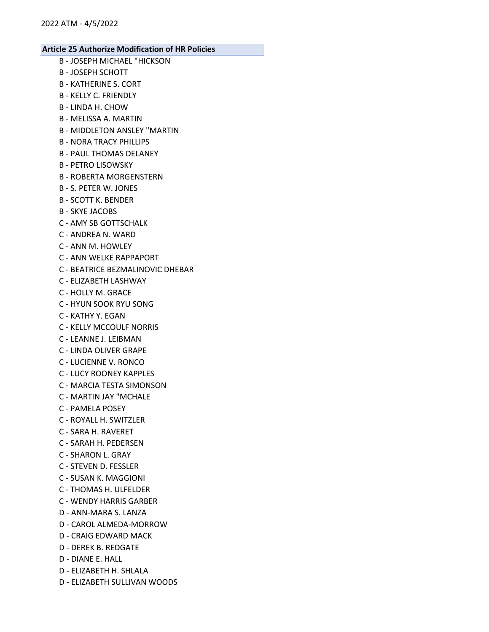- B JOSEPH MICHAEL "HICKSON B - JOSEPH SCHOTT B - KATHERINE S. CORT B - KELLY C. FRIENDLY B - LINDA H. CHOW B - MELISSA A. MARTIN B - MIDDLETON ANSLEY "MARTIN B - NORA TRACY PHILLIPS
- B PAUL THOMAS DELANEY
- B PETRO LISOWSKY
- B ROBERTA MORGENSTERN
- B S. PETER W. JONES
- B SCOTT K. BENDER
- B SKYE JACOBS
- C AMY SB GOTTSCHALK
- C ANDREA N. WARD
- C ANN M. HOWLEY
- C ANN WELKE RAPPAPORT
- C BEATRICE BEZMALINOVIC DHEBAR
- C ELIZABETH LASHWAY
- C HOLLY M. GRACE
- C HYUN SOOK RYU SONG
- C KATHY Y. EGAN
- C KELLY MCCOULF NORRIS
- C LEANNE J. LEIBMAN
- C LINDA OLIVER GRAPE
- C LUCIENNE V. RONCO
- C LUCY ROONEY KAPPLES
- C MARCIA TESTA SIMONSON
- C MARTIN JAY "MCHALE
- C PAMELA POSEY
- C ROYALL H. SWITZLER
- C SARA H. RAVERET
- C SARAH H. PEDERSEN
- C SHARON L. GRAY
- C STEVEN D. FESSLER
- C SUSAN K. MAGGIONI
- C THOMAS H. ULFELDER
- C WENDY HARRIS GARBER
- D ANN-MARA S. LANZA
- D CAROL ALMEDA-MORROW
- D CRAIG EDWARD MACK
- D DEREK B. REDGATE
- D DIANE E. HALL
- D ELIZABETH H. SHLALA
- D ELIZABETH SULLIVAN WOODS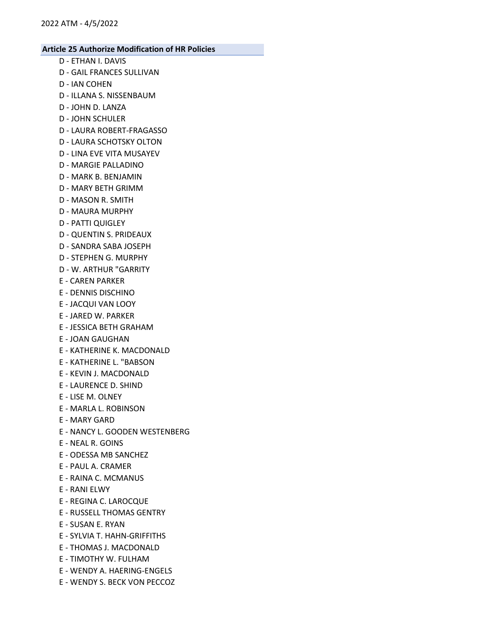- D ETHAN I. DAVIS
- D GAIL FRANCES SULLIVAN
- D IAN COHEN
- D ILLANA S. NISSENBAUM
- D JOHN D. LANZA
- D JOHN SCHULER
- D LAURA ROBERT-FRAGASSO
- D LAURA SCHOTSKY OLTON
- D LINA EVE VITA MUSAYEV
- D MARGIE PALLADINO
- D MARK B. BENJAMIN
- D MARY BETH GRIMM
- D MASON R. SMITH
- D MAURA MURPHY
- D PATTI QUIGLEY
- D QUENTIN S. PRIDEAUX
- D SANDRA SABA JOSEPH
- D STEPHEN G. MURPHY
- D W. ARTHUR "GARRITY
- E CAREN PARKER
- E DENNIS DISCHINO
- E JACQUI VAN LOOY
- E JARED W. PARKER
- E JESSICA BETH GRAHAM
- E JOAN GAUGHAN
- E KATHERINE K. MACDONALD
- E KATHERINE L. "BABSON
- E KEVIN J. MACDONALD
- E LAURENCE D. SHIND
- E LISE M. OLNEY
- E MARLA L. ROBINSON
- E MARY GARD
- E NANCY L. GOODEN WESTENBERG
- E NEAL R. GOINS
- E ODESSA MB SANCHEZ
- E PAUL A. CRAMER
- E RAINA C. MCMANUS
- E RANI ELWY
- E REGINA C. LAROCQUE
- E RUSSELL THOMAS GENTRY
- E SUSAN E. RYAN
- E SYLVIA T. HAHN-GRIFFITHS
- E THOMAS J. MACDONALD
- E TIMOTHY W. FULHAM
- E WENDY A. HAERING-ENGELS
- E WENDY S. BECK VON PECCOZ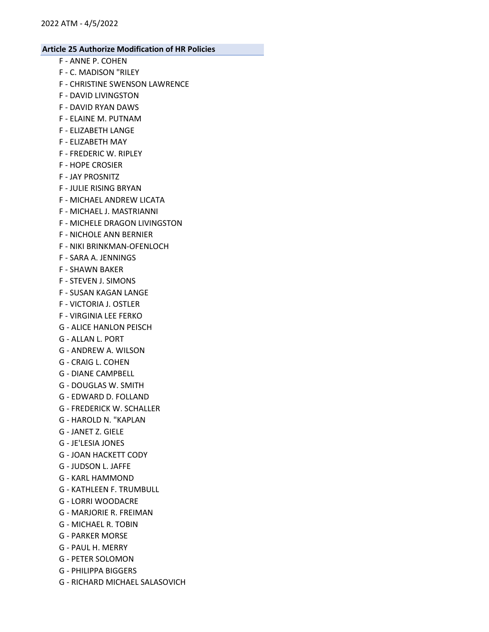- F ANNE P. COHEN
- F C. MADISON "RILEY
- F CHRISTINE SWENSON LAWRENCE
- F DAVID LIVINGSTON
- F DAVID RYAN DAWS
- F ELAINE M. PUTNAM
- F ELIZABETH LANGE
- F ELIZABETH MAY
- F FREDERIC W. RIPLEY
- F HOPE CROSIER
- F JAY PROSNITZ
- F JULIE RISING BRYAN
- F MICHAEL ANDREW LICATA
- F MICHAEL J. MASTRIANNI
- F MICHELE DRAGON LIVINGSTON
- F NICHOLE ANN BERNIER
- F NIKI BRINKMAN-OFENLOCH
- F SARA A. JENNINGS
- F SHAWN BAKER
- F STEVEN J. SIMONS
- F SUSAN KAGAN LANGE
- F VICTORIA J. OSTLER
- F VIRGINIA LEE FERKO
- G ALICE HANLON PEISCH
- G ALLAN L. PORT
- G ANDREW A. WILSON
- G CRAIG L. COHEN
- G DIANE CAMPBELL
- G DOUGLAS W. SMITH
- G EDWARD D. FOLLAND
- G FREDERICK W. SCHALLER
- G HAROLD N. "KAPLAN
- G JANET Z. GIELE
- G JE'LESIA JONES
- G JOAN HACKETT CODY
- G JUDSON L. JAFFE
- G KARL HAMMOND
- G KATHLEEN F. TRUMBULL
- G LORRI WOODACRE
- G MARJORIE R. FREIMAN
- G MICHAEL R. TOBIN
- G PARKER MORSE
- G PAUL H. MERRY
- G PETER SOLOMON
- G PHILIPPA BIGGERS
- G RICHARD MICHAEL SALASOVICH